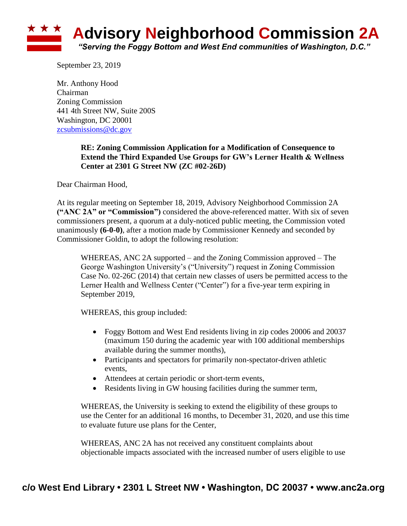

September 23, 2019

Mr. Anthony Hood Chairman Zoning Commission 441 4th Street NW, Suite 200S Washington, DC 20001 [zcsubmissions@dc.gov](mailto:zcsubmissions@dc.gov)

## **RE: Zoning Commission Application for a Modification of Consequence to Extend the Third Expanded Use Groups for GW's Lerner Health & Wellness Center at 2301 G Street NW (ZC #02-26D)**

Dear Chairman Hood,

At its regular meeting on September 18, 2019, Advisory Neighborhood Commission 2A **("ANC 2A" or "Commission")** considered the above-referenced matter. With six of seven commissioners present, a quorum at a duly-noticed public meeting, the Commission voted unanimously **(6-0-0)**, after a motion made by Commissioner Kennedy and seconded by Commissioner Goldin, to adopt the following resolution:

WHEREAS, ANC 2A supported – and the Zoning Commission approved – The George Washington University's ("University") request in Zoning Commission Case No. 02-26C (2014) that certain new classes of users be permitted access to the Lerner Health and Wellness Center ("Center") for a five-year term expiring in September 2019,

WHEREAS, this group included:

- Foggy Bottom and West End residents living in zip codes 20006 and 20037 (maximum 150 during the academic year with 100 additional memberships available during the summer months),
- Participants and spectators for primarily non-spectator-driven athletic events,
- Attendees at certain periodic or short-term events,
- Residents living in GW housing facilities during the summer term,

WHEREAS, the University is seeking to extend the eligibility of these groups to use the Center for an additional 16 months, to December 31, 2020, and use this time to evaluate future use plans for the Center,

WHEREAS, ANC 2A has not received any constituent complaints about objectionable impacts associated with the increased number of users eligible to use